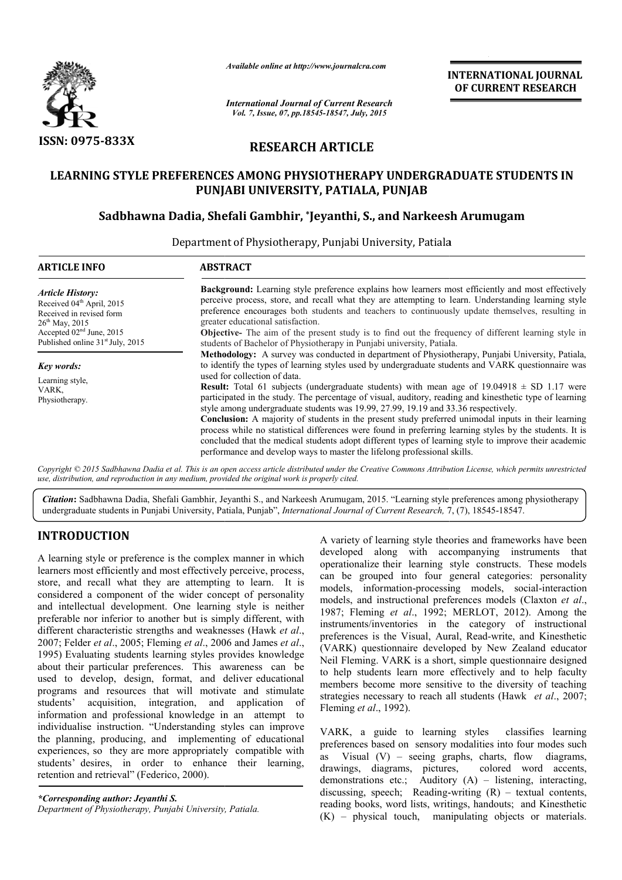

*Available online at http://www.journalcra.com*

*International Journal of Current Research Vol. 7, Issue, 07, pp.18545-18547, July, 2015*

**INTERNATIONAL INTERNATIONAL JOURNAL OF CURRENT RESEARCH** 

# **RESEARCH ARTICLE**

# **LEARNING STYLE PREFERENCES AMONG PHYSIOTHERAPY UNDERGRADUATE STUDENTS IN PUNJABI UNIVERSITY, PATIALA, PUNJAB**

# **Sadbhawna Dadia, Shefali Gambhir, \*Jeyanthi, S., and Narkeesh Arumugam Arumugam**

Department of Physiotherapy, Punjabi University, Patiala

| <b>ARTICLE INFO</b>                                                                                                                                                                                      | <b>ABSTRACT</b>                                                                                                                                                                                                                                                                                                                                                                                                                                                                                                                                 |  |  |
|----------------------------------------------------------------------------------------------------------------------------------------------------------------------------------------------------------|-------------------------------------------------------------------------------------------------------------------------------------------------------------------------------------------------------------------------------------------------------------------------------------------------------------------------------------------------------------------------------------------------------------------------------------------------------------------------------------------------------------------------------------------------|--|--|
| <b>Article History:</b><br>Received 04 <sup>th</sup> April, 2015<br>Received in revised form<br>$26^{\text{th}}$ May, 2015<br>Accepted $02nd$ June, 2015<br>Published online 31 <sup>st</sup> July, 2015 | <b>Background:</b> Learning style preference explains how learners most efficiently and most effectively<br>perceive process, store, and recall what they are attempting to learn. Understanding learning style<br>preference encourages both students and teachers to continuously update themselves, resulting in<br>greater educational satisfaction.<br><b>Objective-</b> The aim of the present study is to find out the frequency of different learning style in<br>students of Bachelor of Physiotherapy in Punjabi university, Patiala. |  |  |
|                                                                                                                                                                                                          | Methodology: A survey was conducted in department of Physiotherapy, Punjabi University, Patiala,                                                                                                                                                                                                                                                                                                                                                                                                                                                |  |  |
| Key words:                                                                                                                                                                                               | to identify the types of learning styles used by undergraduate students and VARK questionnaire was                                                                                                                                                                                                                                                                                                                                                                                                                                              |  |  |
| Learning style,<br>VARK.<br>Physiotherapy.                                                                                                                                                               | used for collection of data.<br><b>Result:</b> Total 61 subjects (undergraduate students) with mean age of $19.04918 \pm SD$ 1.17 were<br>participated in the study. The percentage of visual, auditory, reading and kinesthetic type of learning<br>style among undergraduate students was 19.99, 27.99, 19.19 and 33.36 respectively.<br><b>Conclusion:</b> A majority of students in the present study preferred unimodal inputs in their learning                                                                                           |  |  |
|                                                                                                                                                                                                          | process while no statistical differences were found in preferring learning styles by the students. It is<br>concluded that the medical students adopt different types of learning style to improve their academic<br>performance and develop ways to master the lifelong professional skills.<br>Copyright © 2015 Sadbhawna Dadia et al. This is an open access article distributed under the Creative Commons Attribution License, which permits unrestricted                                                                                  |  |  |

*Copyright © 2015 Sadbhawna Dadia et al. This is an open access article distributed under the Creative Commons Att use, distribution, and reproduction in any medium, provided the original work is properly cited. Attribution License, which ribution permits unrestricted*

Citation: Sadbhawna Dadia, Shefali Gambhir, Jeyanthi S., and Narkeesh Arumugam, 2015. "Learning style preferences among physiotherapy undergraduate students in Punjabi University, Patiala, Punjab<sup>3</sup>, *International Journal* undergraduate students in Punjabi University, Patiala, Punjab", *International Journal of Current Research*, 7, (7),

# **INTRODUCTION**

A learning style or preference is the complex manner in which learners most efficiently and most effectively perceive, process, store, and recall what they are attempting to learn. It is considered a component of the wider concept of personality and intellectual development. One learning style is neither preferable nor inferior to another but is simply different, with different characteristic strengths and weaknesses (Hawk *et al*., 2007; Felder *et al*., 2005; Fleming *et al*., 2006 and James *et al*., 1995) Evaluating students learning styles provides knowledge about their particular preferences. This awareness can be used to develop, design, format, and deliver educational programs and resources that will motivate and stimulate students' acquisition, integration, and application of information and professional knowledge in an attempt to individualise instruction. "Understanding styles can improve the planning, producing, and implementing of educational experiences, so they are more appropriately compatible with students' desires, in order to enhance their learning, retention and retrieval" (Federico, 2000).

*\*Corresponding author: Jeyanthi S. Department of Physiotherapy, Punjabi University, Patiala.*

A variety of learning style theories and frameworks have been<br>
note frectively perceive, process,<br>
more and the comparison and the compariguity anstruments that<br>
models, information-processing models, social-interaction<br> developed along with accompanying instruments that operationalize their learning style constructs. can be grouped into four general categories: personality can be grouped into four general categories: personality models, information-processing models, social-interaction models, and instructional preferences models (Claxton et al., 1987; Fleming *et al*., 1992; MERLOT, 2012). Among the instruments/inventories in the category of instructional instruments/inventories in the category of instructional preferences is the Visual, Aural, Read-write, and Kinesthetic (VARK) questionnaire developed by New Zealand educator Neil Fleming. VARK is a short, simple questionnaire designed Neil Fleming. VARK is a short, simple questionnaire designed<br>to help students learn more effectively and to help faculty members become more sensitive to the diversity of teaching members become more sensitive to the diversity of teaching strategies necessary to reach all students (Hawk *et al.*, 2007; Fleming *et al*., 1992). of learning style theories and frameworks have been<br>along with accompanying instruments that<br>lize their learning style constructs. These models

VARK, a guide to learning styles classifies learning preferences based on sensory modalities into four modes such as Visual (V) – seeing graphs, charts, flow diagrams, drawings, diagrams, pictures, colored word accents, demonstrations etc.; Auditory (A) discussing, speech; Readingreading books, word lists, writings, handouts; and Kinesthetic reading books, word lists, writings, handouts; and Kinesthetic (K) – physical touch, manipulating objects or materials. guide to learning styles classifies learning<br>based on sensory modalities into four modes such<br> $(V)$  – seeing graphs, charts, flow diagrams,<br>diagrams, pictures, colored word accents,<br>ons etc.; Auditory  $(A)$  – listening, int -writing (R) – textual contents,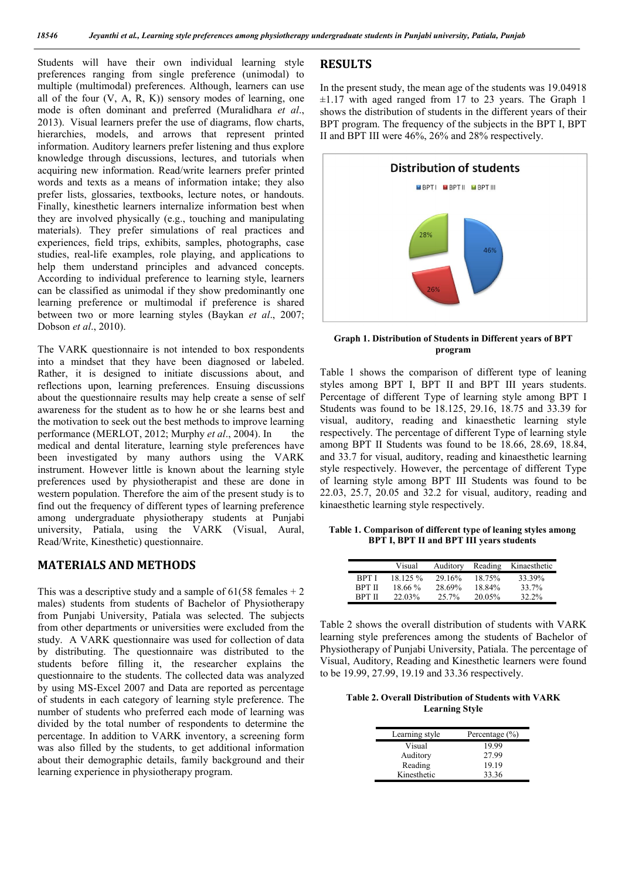Students will have their own individual learning style preferences ranging from single preference (unimodal) to multiple (multimodal) preferences. Although, learners can use all of the four  $(V, A, R, K)$  sensory modes of learning, one mode is often dominant and preferred (Muralidhara *et al*., 2013). Visual learners prefer the use of diagrams, flow charts, hierarchies, models, and arrows that represent printed information. Auditory learners prefer listening and thus explore knowledge through discussions, lectures, and tutorials when acquiring new information. Read/write learners prefer printed words and texts as a means of information intake; they also prefer lists, glossaries, textbooks, lecture notes, or handouts. Finally, kinesthetic learners internalize information best when they are involved physically (e.g., touching and manipulating materials). They prefer simulations of real practices and experiences, field trips, exhibits, samples, photographs, case studies, real-life examples, role playing, and applications to help them understand principles and advanced concepts. According to individual preference to learning style, learners can be classified as unimodal if they show predominantly one learning preference or multimodal if preference is shared between two or more learning styles (Baykan *et al*., 2007; Dobson *et al*., 2010).

The VARK questionnaire is not intended to box respondents into a mindset that they have been diagnosed or labeled. Rather, it is designed to initiate discussions about, and reflections upon, learning preferences. Ensuing discussions about the questionnaire results may help create a sense of self awareness for the student as to how he or she learns best and the motivation to seek out the best methods to improve learning performance (MERLOT, 2012; Murphy *et al.*, 2004). In the medical and dental literature, learning style preferences have been investigated by many authors using the VARK instrument. However little is known about the learning style preferences used by physiotherapist and these are done in western population. Therefore the aim of the present study is to find out the frequency of different types of learning preference among undergraduate physiotherapy students at Punjabi university, Patiala, using the VARK (Visual, Aural, Read/Write, Kinesthetic) questionnaire.

## **MATERIALS AND METHODS**

This was a descriptive study and a sample of  $61(58 \text{ females} + 2)$ males) students from students of Bachelor of Physiotherapy from Punjabi University, Patiala was selected. The subjects from other departments or universities were excluded from the study. A VARK questionnaire was used for collection of data by distributing. The questionnaire was distributed to the students before filling it, the researcher explains the questionnaire to the students. The collected data was analyzed by using MS-Excel 2007 and Data are reported as percentage of students in each category of learning style preference. The number of students who preferred each mode of learning was divided by the total number of respondents to determine the percentage. In addition to VARK inventory, a screening form was also filled by the students, to get additional information about their demographic details, family background and their learning experience in physiotherapy program.

### **RESULTS**

In the present study, the mean age of the students was 19.04918  $\pm 1.17$  with aged ranged from 17 to 23 years. The Graph 1 shows the distribution of students in the different years of their BPT program. The frequency of the subjects in the BPT I, BPT II and BPT III were 46%, 26% and 28% respectively.



#### **Graph 1. Distribution of Students in Different years of BPT program**

Table 1 shows the comparison of different type of leaning styles among BPT I, BPT II and BPT III years students. Percentage of different Type of learning style among BPT I Students was found to be 18.125, 29.16, 18.75 and 33.39 for visual, auditory, reading and kinaesthetic learning style respectively. The percentage of different Type of learning style among BPT II Students was found to be 18.66, 28.69, 18.84, and 33.7 for visual, auditory, reading and kinaesthetic learning style respectively. However, the percentage of different Type of learning style among BPT III Students was found to be 22.03, 25.7, 20.05 and 32.2 for visual, auditory, reading and kinaesthetic learning style respectively.

**Table 1. Comparison of different type of leaning styles among BPT I, BPT II and BPT III years students**

|               | Visual   | Auditory | Reading | Kinaesthetic |
|---------------|----------|----------|---------|--------------|
| RPT I         | 18 125 % | 29.16%   | 18.75%  | 33 39%       |
| <b>BPT II</b> | 18.66%   | 28.69%   | 18.84%  | 33.7%        |
| RPT II        | 22.03%   | 25.7%    | 20.05%  | 32.2%        |

Table 2 shows the overall distribution of students with VARK learning style preferences among the students of Bachelor of Physiotherapy of Punjabi University, Patiala. The percentage of Visual, Auditory, Reading and Kinesthetic learners were found to be 19.99, 27.99, 19.19 and 33.36 respectively.

**Table 2. Overall Distribution of Students with VARK Learning Style**

| Learning style | Percentage $(\% )$ |  |
|----------------|--------------------|--|
| Visual         | 19.99              |  |
| Auditory       | 27.99              |  |
| Reading        | 19.19              |  |
| Kinesthetic    | 33.36              |  |